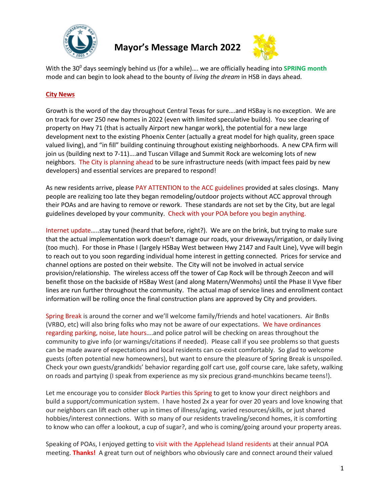

**Mayor's Message March 2022**



With the 30<sup>°</sup> days seemingly behind us (for a while).... we are officially heading into **SPRING** month mode and can begin to look ahead to the bounty of *living the dream* in HSB in days ahead.

## **City News**

Growth is the word of the day throughout Central Texas for sure….and HSBay is no exception. We are on track for over 250 new homes in 2022 (even with limited speculative builds). You see clearing of property on Hwy 71 (that is actually Airport new hangar work), the potential for a new large development next to the existing Phoenix Center (actually a great model for high quality, green space valued living), and "in fill" building continuing throughout existing neighborhoods. A new CPA firm will join us (building next to 7-11)....and Tuscan Village and Summit Rock are welcoming lots of new neighbors. The City is planning ahead to be sure infrastructure needs (with impact fees paid by new developers) and essential services are prepared to respond!

As new residents arrive, please PAY ATTENTION to the ACC guidelines provided at sales closings. Many people are realizing too late they began remodeling/outdoor projects without ACC approval through their POAs and are having to remove or rework. These standards are not set by the City, but are legal guidelines developed by your community. Check with your POA before you begin anything.

Internet update…..stay tuned (heard that before, right?). We are on the brink, but trying to make sure that the actual implementation work doesn't damage our roads, your driveways/irrigation, or daily living (too much). For those in Phase I (largely HSBay West between Hwy 2147 and Fault Line), Vyve will begin to reach out to you soon regarding individual home interest in getting connected. Prices for service and channel options are posted on their website. The City will not be involved in actual service provision/relationship. The wireless access off the tower of Cap Rock will be through Zeecon and will benefit those on the backside of HSBay West (and along Matern/Wenmohs) until the Phase II Vyve fiber lines are run further throughout the community. The actual map of service lines and enrollment contact information will be rolling once the final construction plans are approved by City and providers.

Spring Break is around the corner and we'll welcome family/friends and hotel vacationers. Air BnBs (VRBO, etc) will also bring folks who may not be aware of our expectations. We have ordinances regarding parking, noise, late hours….and police patrol will be checking on areas throughout the community to give info (or warnings/citations if needed). Please call if you see problems so that guests can be made aware of expectations and local residents can co-exist comfortably. So glad to welcome guests (often potential new homeowners), but want to ensure the pleasure of Spring Break is unspoiled. Check your own guests/grandkids' behavior regarding golf cart use, golf course care, lake safety, walking on roads and partying (I speak from experience as my six precious grand-munchkins became teens!).

Let me encourage you to consider Block Parties this Spring to get to know your direct neighbors and build a support/communication system. I have hosted 2x a year for over 20 years and love knowing that our neighbors can lift each other up in times of illness/aging, varied resources/skills, or just shared hobbies/interest connections. With so many of our residents traveling/second homes, it is comforting to know who can offer a lookout, a cup of sugar?, and who is coming/going around your property areas.

Speaking of POAs, I enjoyed getting to visit with the Applehead Island residents at their annual POA meeting. **Thanks!** A great turn out of neighbors who obviously care and connect around their valued